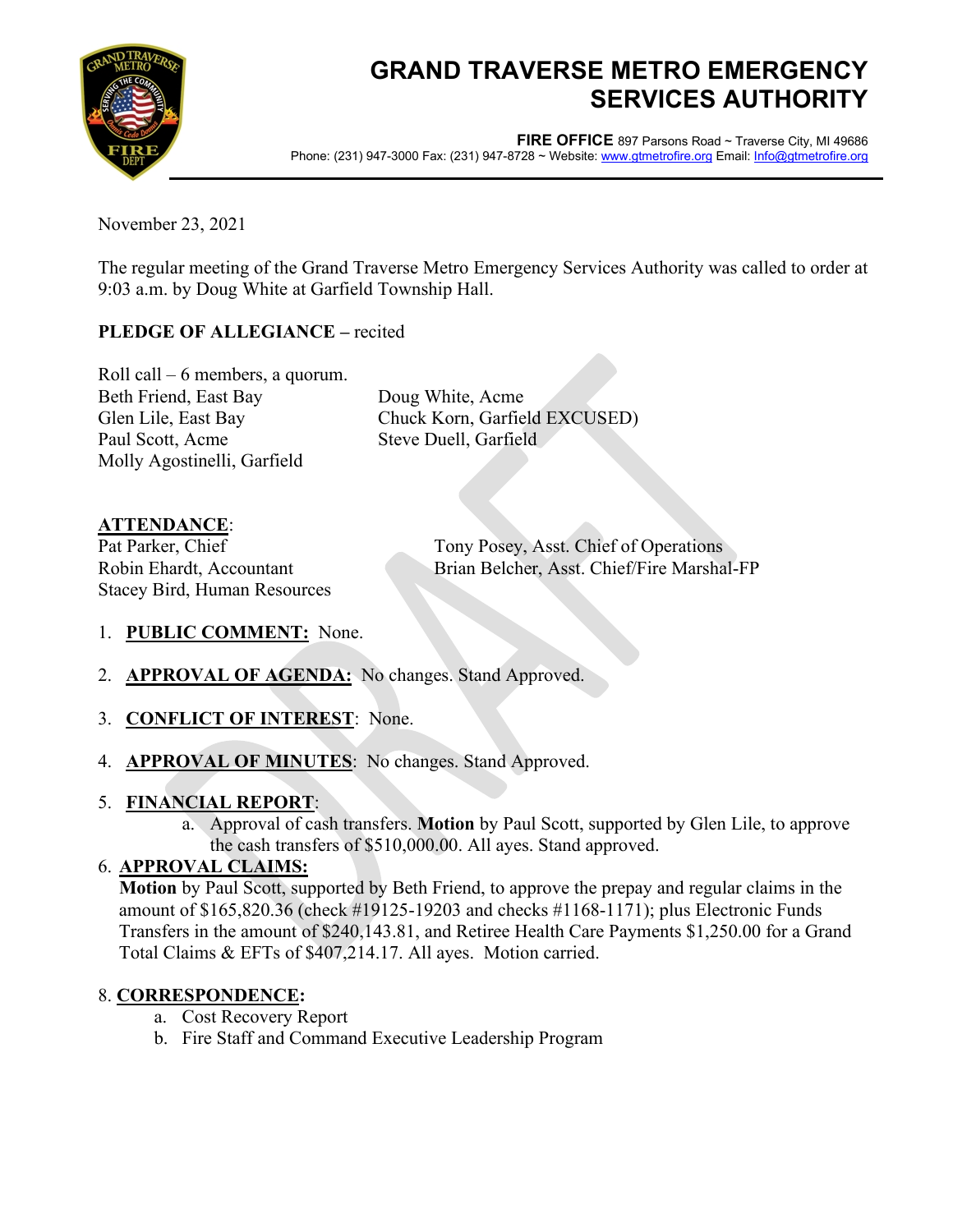

# **GRAND TRAVERSE METRO EMERGENCY SERVICES AUTHORITY**

**FIRE OFFICE** 897 Parsons Road ~ Traverse City, MI 49686 Phone: (231) 947-3000 Fax: (231) 947-8728 ~ Website[: www.gtmetrofire.org](http://www.gtmetrofire.org/) Email[: Info@gtmetrofire.org](mailto:Info@Gtfire.org)

November 23, 2021

The regular meeting of the Grand Traverse Metro Emergency Services Authority was called to order at 9:03 a.m. by Doug White at Garfield Township Hall.

### **PLEDGE OF ALLEGIANCE –** recited

Roll call – 6 members, a quorum. Beth Friend, East Bay Doug White, Acme Paul Scott, Acme Steve Duell, Garfield Molly Agostinelli, Garfield

Glen Lile, East Bay Chuck Korn, Garfield EXCUSED)

## **ATTENDANCE**:

Stacey Bird, Human Resources

Pat Parker, Chief Tony Posey, Asst. Chief of Operations Robin Ehardt, Accountant Brian Belcher, Asst. Chief/Fire Marshal-FP

- 1. **PUBLIC COMMENT:** None.
- 2. **APPROVAL OF AGENDA:** No changes. Stand Approved.
- 3. **CONFLICT OF INTEREST**: None.
- 4. **APPROVAL OF MINUTES**: No changes. Stand Approved.

### 5. **FINANCIAL REPORT**:

a. Approval of cash transfers. **Motion** by Paul Scott, supported by Glen Lile, to approve the cash transfers of \$510,000.00. All ayes. Stand approved.

### 6. **APPROVAL CLAIMS:**

**Motion** by Paul Scott, supported by Beth Friend, to approve the prepay and regular claims in the amount of \$165,820.36 (check #19125-19203 and checks #1168-1171); plus Electronic Funds Transfers in the amount of \$240,143.81, and Retiree Health Care Payments \$1,250.00 for a Grand Total Claims & EFTs of \$407,214.17. All ayes. Motion carried.

### 8. **CORRESPONDENCE:**

- a. Cost Recovery Report
- b. Fire Staff and Command Executive Leadership Program